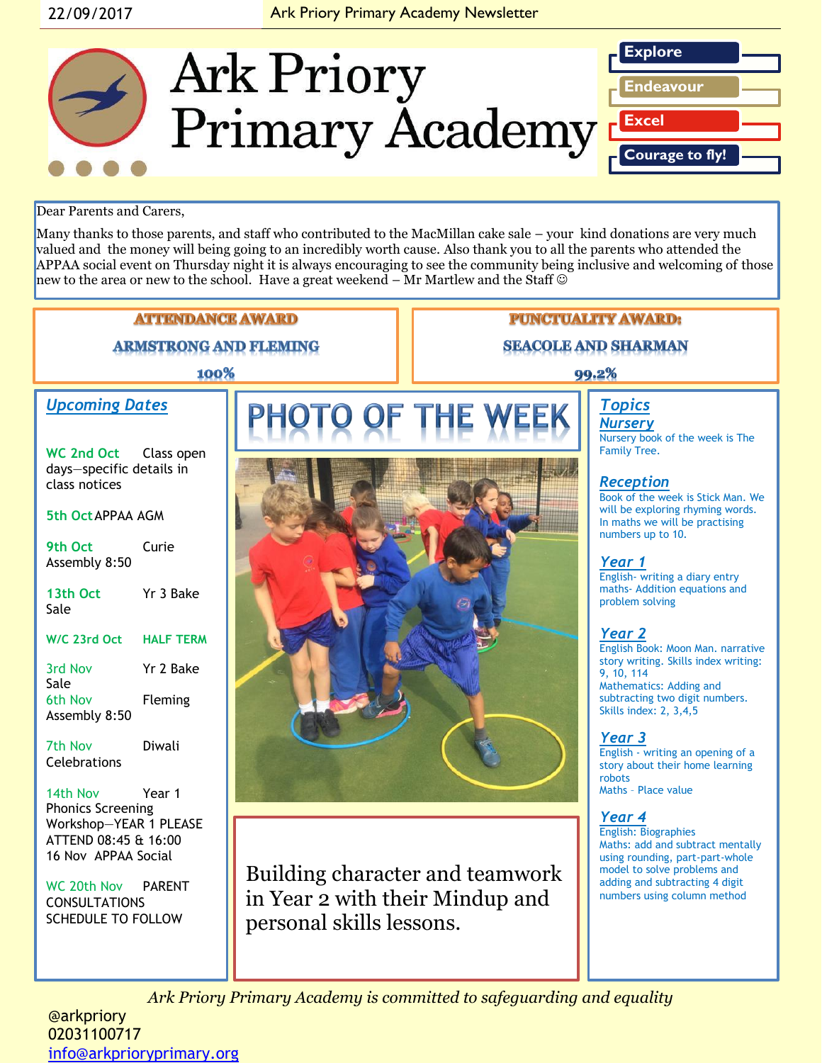#### 22/09/2017 **Ark Priory Primary Academy Newsletter**



Dear Parents and Carers,

Many thanks to those parents, and staff who contributed to the MacMillan cake sale – your kind donations are very much valued and the money will being going to an incredibly worth cause. Also thank you to all the parents who attended the APPAA social event on Thursday night it is always encouraging to see the community being inclusive and welcoming of those new to the area or new to the school. Have a great weekend – Mr Martlew and the Staff



*Ark Priory Primary Academy is committed to safeguarding and equality* 

@arkpriory 02031100717 [info@arkprioryprimary.org](mailto:info@arkprioryprimary.org)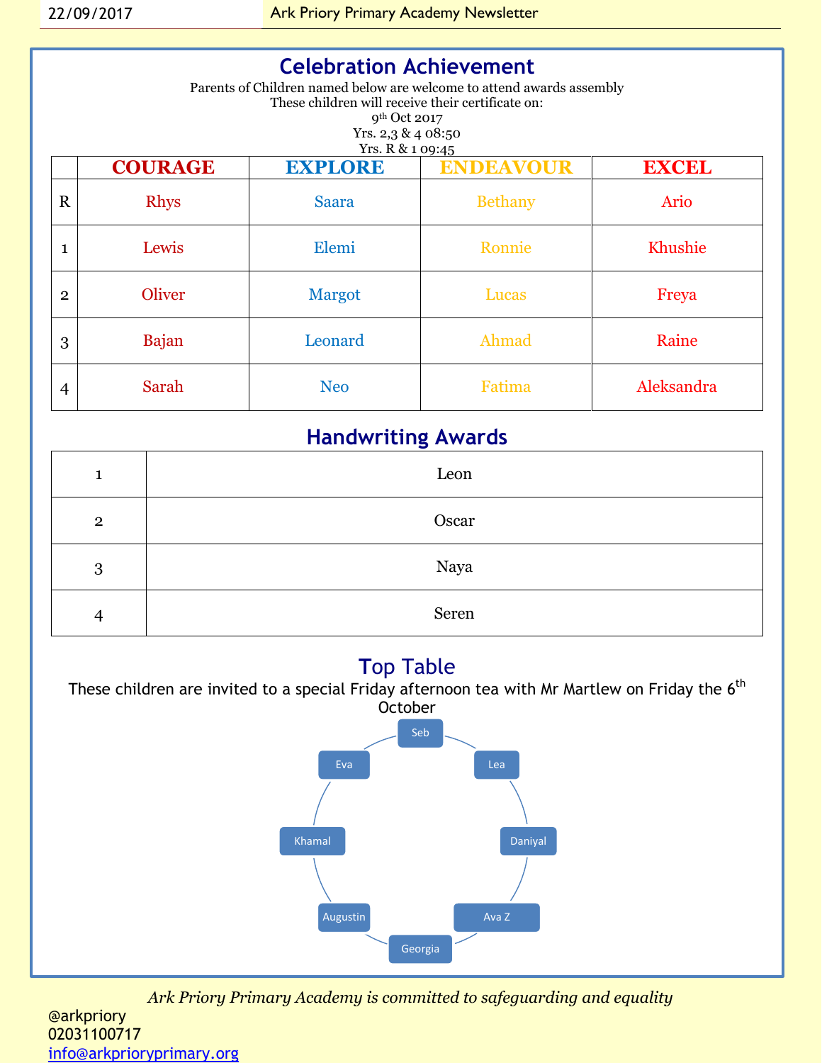| <b>Celebration Achievement</b><br>Parents of Children named below are welcome to attend awards assembly<br>These children will receive their certificate on:<br>9 <sup>th</sup> Oct 2017<br>Yrs. $2,3$ & 4 08:50<br>Yrs. R & 1 09:45 |                |                |                  |              |  |
|--------------------------------------------------------------------------------------------------------------------------------------------------------------------------------------------------------------------------------------|----------------|----------------|------------------|--------------|--|
|                                                                                                                                                                                                                                      | <b>COURAGE</b> | <b>EXPLORE</b> | <b>ENDEAVOUR</b> | <b>EXCEL</b> |  |
| $\mathbf R$                                                                                                                                                                                                                          | <b>Rhys</b>    | <b>Saara</b>   | <b>Bethany</b>   | Ario         |  |
|                                                                                                                                                                                                                                      | Lewis          | Elemi          | Ronnie           | Khushie      |  |
| $\mathbf{2}$                                                                                                                                                                                                                         | Oliver         | <b>Margot</b>  | Lucas            | Freya        |  |
| 3                                                                                                                                                                                                                                    | <b>Bajan</b>   | Leonard        | Ahmad            | Raine        |  |
| 4                                                                                                                                                                                                                                    | Sarah          | <b>Neo</b>     | Fatima           | Aleksandra   |  |

### **Handwriting Awards**

| 1              | Leon  |
|----------------|-------|
| $\mathbf{2}$   | Oscar |
| 3              | Naya  |
| $\overline{4}$ | Seren |

### **T**op Table



*Ark Priory Primary Academy is committed to safeguarding and equality* 

@arkpriory 02031100717 [info@arkprioryprimary.org](mailto:info@arkprioryprimary.org)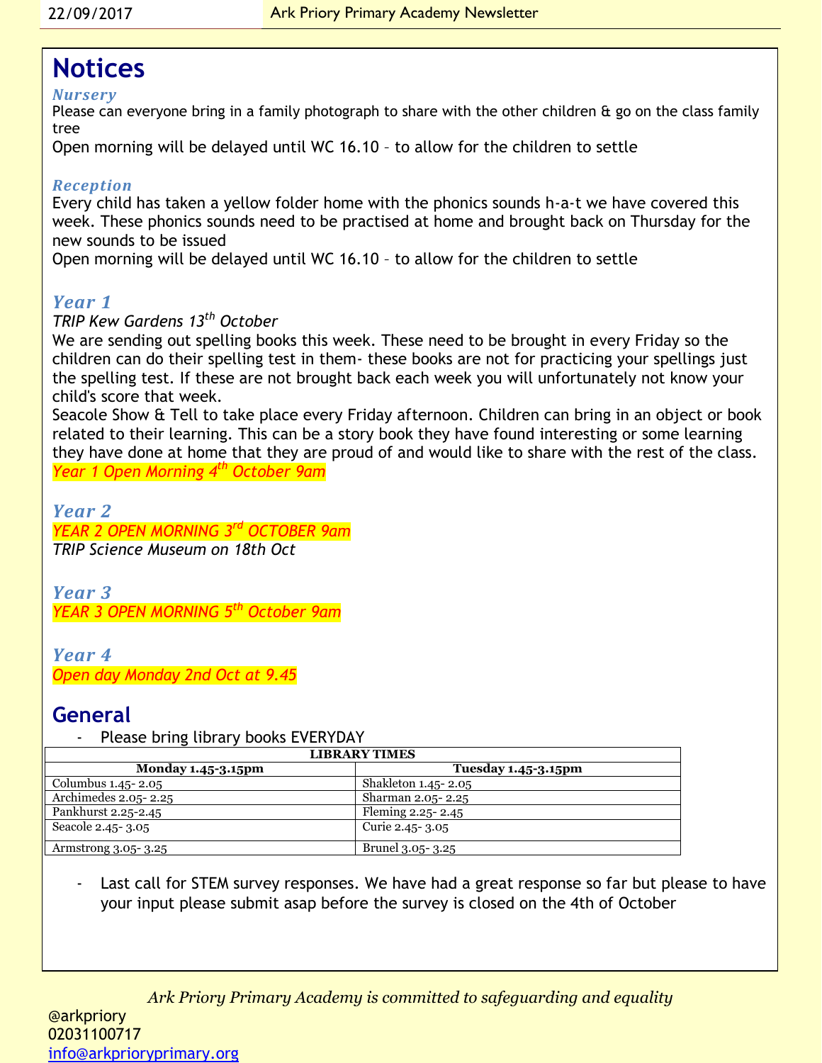## **Notices**

#### *Nursery*

Please can everyone bring in a family photograph to share with the other children & go on the class family tree

Open morning will be delayed until WC 16.10 – to allow for the children to settle

#### *Reception*

Every child has taken a yellow folder home with the phonics sounds h-a-t we have covered this week. These phonics sounds need to be practised at home and brought back on Thursday for the new sounds to be issued

Open morning will be delayed until WC 16.10 – to allow for the children to settle

#### *Year 1*

#### *TRIP Kew Gardens 13th October*

We are sending out spelling books this week. These need to be brought in every Friday so the children can do their spelling test in them- these books are not for practicing your spellings just the spelling test. If these are not brought back each week you will unfortunately not know your child's score that week.

Seacole Show & Tell to take place every Friday afternoon. Children can bring in an object or book related to their learning. This can be a story book they have found interesting or some learning they have done at home that they are proud of and would like to share with the rest of the class. *Year 1 Open Morning 4th October 9am*

*Year 2 YEAR 2 OPEN MORNING 3rd OCTOBER 9am TRIP Science Museum on 18th Oct*

*Year 3 YEAR 3 OPEN MORNING 5th October 9am*

#### *Year 4 Open day Monday 2nd Oct at 9.45*

#### **General**

Please bring library books EVERYDAY

| <b>LIBRARY TIMES</b> |                            |  |  |
|----------------------|----------------------------|--|--|
| Monday 1.45-3.15pm   | <b>Tuesday 1.45-3.15pm</b> |  |  |
| Columbus 1.45-2.05   | Shakleton 1.45-2.05        |  |  |
| Archimedes 2.05-2.25 | Sharman 2.05-2.25          |  |  |
| Pankhurst 2.25-2.45  | Fleming 2.25-2.45          |  |  |
| Seacole 2.45-3.05    | Curie 2.45 - 3.05          |  |  |
| Armstrong 3.05-3.25  | Brunel 3.05- 3.25          |  |  |

Last call for STEM survey responses. We have had a great response so far but please to have your input please submit asap before the survey is closed on the 4th of October

*Ark Priory Primary Academy is committed to safeguarding and equality*  @arkpriory 02031100717 [info@arkprioryprimary.org](mailto:info@arkprioryprimary.org)